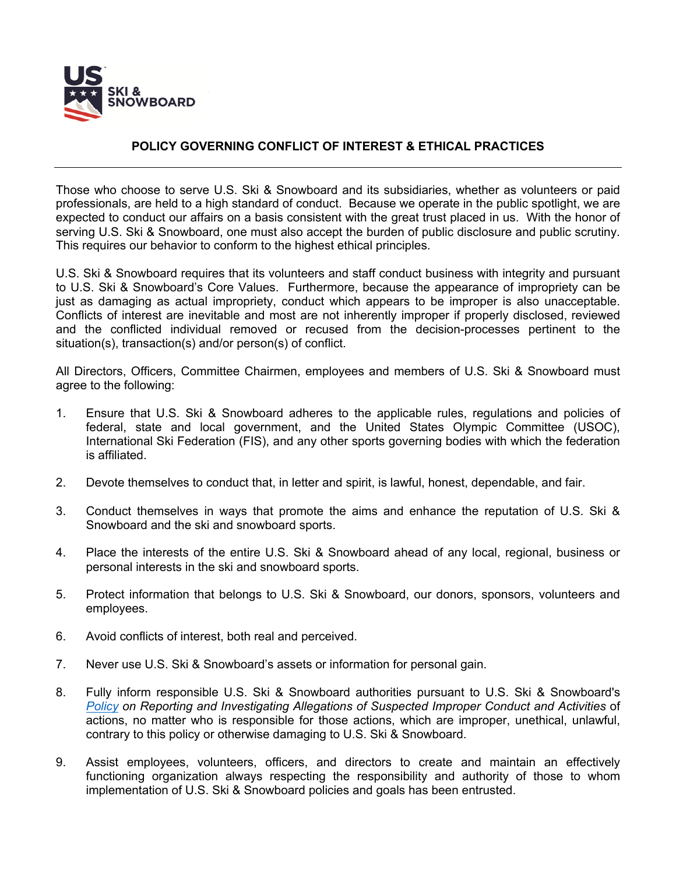

## **POLICY GOVERNING CONFLICT OF INTEREST & ETHICAL PRACTICES**

Those who choose to serve U.S. Ski & Snowboard and its subsidiaries, whether as volunteers or paid professionals, are held to a high standard of conduct. Because we operate in the public spotlight, we are expected to conduct our affairs on a basis consistent with the great trust placed in us. With the honor of serving U.S. Ski & Snowboard, one must also accept the burden of public disclosure and public scrutiny. This requires our behavior to conform to the highest ethical principles.

U.S. Ski & Snowboard requires that its volunteers and staff conduct business with integrity and pursuant to U.S. Ski & Snowboard's Core Values. Furthermore, because the appearance of impropriety can be just as damaging as actual impropriety, conduct which appears to be improper is also unacceptable. Conflicts of interest are inevitable and most are not inherently improper if properly disclosed, reviewed and the conflicted individual removed or recused from the decision-processes pertinent to the situation(s), transaction(s) and/or person(s) of conflict.

All Directors, Officers, Committee Chairmen, employees and members of U.S. Ski & Snowboard must agree to the following:

- 1. Ensure that U.S. Ski & Snowboard adheres to the applicable rules, regulations and policies of federal, state and local government, and the United States Olympic Committee (USOC), International Ski Federation (FIS), and any other sports governing bodies with which the federation is affiliated.
- 2. Devote themselves to conduct that, in letter and spirit, is lawful, honest, dependable, and fair.
- 3. Conduct themselves in ways that promote the aims and enhance the reputation of U.S. Ski & Snowboard and the ski and snowboard sports.
- 4. Place the interests of the entire U.S. Ski & Snowboard ahead of any local, regional, business or personal interests in the ski and snowboard sports.
- 5. Protect information that belongs to U.S. Ski & Snowboard, our donors, sponsors, volunteers and employees.
- 6. Avoid conflicts of interest, both real and perceived.
- 7. Never use U.S. Ski & Snowboard's assets or information for personal gain.
- 8. Fully inform responsible U.S. Ski & Snowboard authorities pursuant to U.S. Ski & Snowboard's *Policy on Reporting and Investigating Allegations of Suspected Improper Conduct and Activities* of actions, no matter who is responsible for those actions, which are improper, unethical, unlawful, contrary to this policy or otherwise damaging to U.S. Ski & Snowboard.
- 9. Assist employees, volunteers, officers, and directors to create and maintain an effectively functioning organization always respecting the responsibility and authority of those to whom implementation of U.S. Ski & Snowboard policies and goals has been entrusted.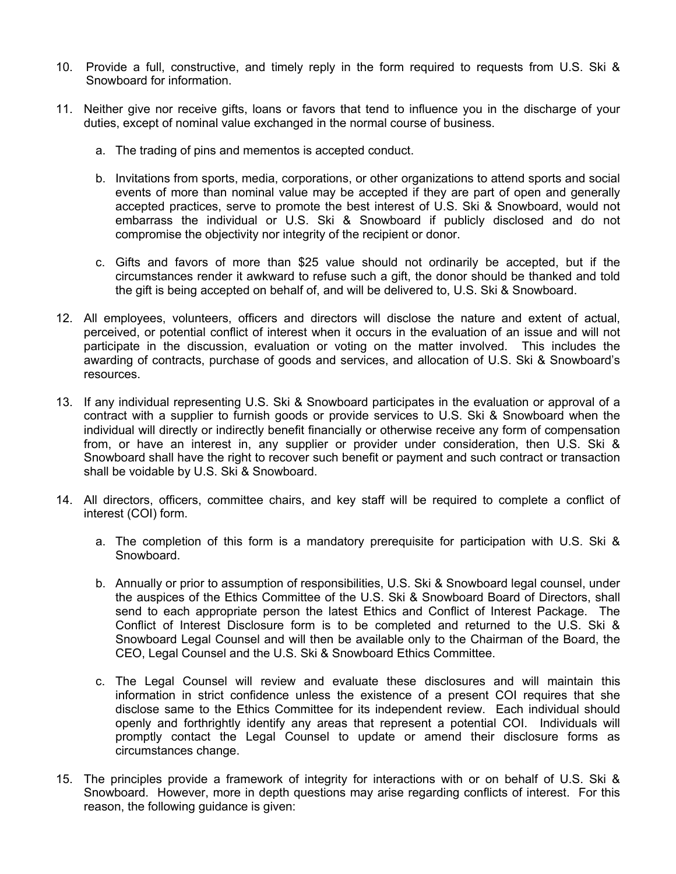- 10. Provide a full, constructive, and timely reply in the form required to requests from U.S. Ski & Snowboard for information.
- 11. Neither give nor receive gifts, loans or favors that tend to influence you in the discharge of your duties, except of nominal value exchanged in the normal course of business.
	- a. The trading of pins and mementos is accepted conduct.
	- b. Invitations from sports, media, corporations, or other organizations to attend sports and social events of more than nominal value may be accepted if they are part of open and generally accepted practices, serve to promote the best interest of U.S. Ski & Snowboard, would not embarrass the individual or U.S. Ski & Snowboard if publicly disclosed and do not compromise the objectivity nor integrity of the recipient or donor.
	- c. Gifts and favors of more than \$25 value should not ordinarily be accepted, but if the circumstances render it awkward to refuse such a gift, the donor should be thanked and told the gift is being accepted on behalf of, and will be delivered to, U.S. Ski & Snowboard.
- 12. All employees, volunteers, officers and directors will disclose the nature and extent of actual, perceived, or potential conflict of interest when it occurs in the evaluation of an issue and will not participate in the discussion, evaluation or voting on the matter involved. This includes the awarding of contracts, purchase of goods and services, and allocation of U.S. Ski & Snowboard's resources.
- 13. If any individual representing U.S. Ski & Snowboard participates in the evaluation or approval of a contract with a supplier to furnish goods or provide services to U.S. Ski & Snowboard when the individual will directly or indirectly benefit financially or otherwise receive any form of compensation from, or have an interest in, any supplier or provider under consideration, then U.S. Ski & Snowboard shall have the right to recover such benefit or payment and such contract or transaction shall be voidable by U.S. Ski & Snowboard.
- 14. All directors, officers, committee chairs, and key staff will be required to complete a conflict of interest (COI) form.
	- a. The completion of this form is a mandatory prerequisite for participation with U.S. Ski & Snowboard.
	- b. Annually or prior to assumption of responsibilities, U.S. Ski & Snowboard legal counsel, under the auspices of the Ethics Committee of the U.S. Ski & Snowboard Board of Directors, shall send to each appropriate person the latest Ethics and Conflict of Interest Package. The Conflict of Interest Disclosure form is to be completed and returned to the U.S. Ski & Snowboard Legal Counsel and will then be available only to the Chairman of the Board, the CEO, Legal Counsel and the U.S. Ski & Snowboard Ethics Committee.
	- c. The Legal Counsel will review and evaluate these disclosures and will maintain this information in strict confidence unless the existence of a present COI requires that she disclose same to the Ethics Committee for its independent review. Each individual should openly and forthrightly identify any areas that represent a potential COI. Individuals will promptly contact the Legal Counsel to update or amend their disclosure forms as circumstances change.
- 15. The principles provide a framework of integrity for interactions with or on behalf of U.S. Ski & Snowboard. However, more in depth questions may arise regarding conflicts of interest. For this reason, the following guidance is given: